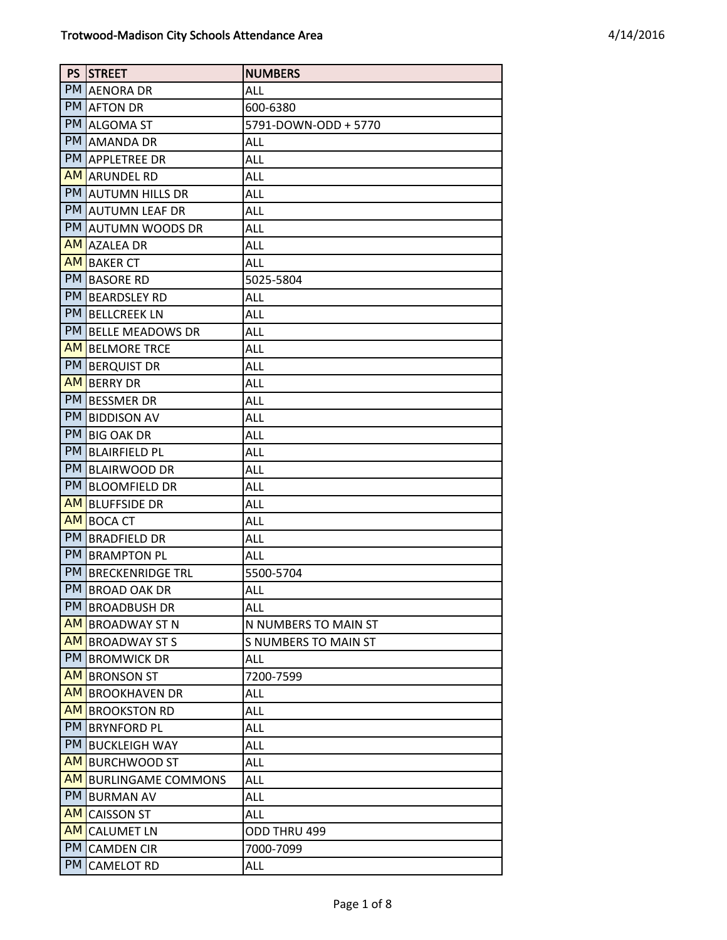|           | <b>PS ISTREET</b>            | <b>NUMBERS</b>       |
|-----------|------------------------------|----------------------|
|           | PM AENORA DR                 | ALL                  |
|           | <b>PM AFTON</b> DR           | 600-6380             |
|           | PM ALGOMA ST                 | 5791-DOWN-ODD + 5770 |
|           | PM AMANDA DR                 | <b>ALL</b>           |
|           | PM APPLETREE DR              | <b>ALL</b>           |
|           | <b>AM</b> ARUNDEL RD         | <b>ALL</b>           |
|           | PM AUTUMN HILLS DR           | <b>ALL</b>           |
|           | PM AUTUMN LEAF DR            | <b>ALL</b>           |
|           | PM AUTUMN WOODS DR           | ALL                  |
|           | <b>AM AZALEA DR</b>          | <b>ALL</b>           |
|           | <b>AM BAKER CT</b>           | <b>ALL</b>           |
|           | <b>PM BASORE RD</b>          | 5025-5804            |
|           | PM BEARDSLEY RD              | <b>ALL</b>           |
|           | PM BELLCREEK LN              | ALL                  |
|           | PM BELLE MEADOWS DR          | <b>ALL</b>           |
|           | <b>AM BELMORE TRCE</b>       | <b>ALL</b>           |
|           | <b>PM BERQUIST DR</b>        | <b>ALL</b>           |
|           | <b>AM BERRY DR</b>           | <b>ALL</b>           |
|           | PM BESSMER DR                | <b>ALL</b>           |
|           | PM BIDDISON AV               | <b>ALL</b>           |
|           | PM BIG OAK DR                | <b>ALL</b>           |
|           | PM BLAIRFIELD PL             | <b>ALL</b>           |
|           | PM BLAIRWOOD DR              | <b>ALL</b>           |
|           | PM BLOOMFIELD DR             | <b>ALL</b>           |
|           | AM BLUFFSIDE DR              | <b>ALL</b>           |
| AM        | <b>BOCA CT</b>               | ALL                  |
|           | PM BRADFIELD DR              | <b>ALL</b>           |
|           | PM BRAMPTON PL               | <b>ALL</b>           |
|           | <b>PM BRECKENRIDGE TRL</b>   | 5500-5704            |
|           | PM BROAD OAK DR              | <b>ALL</b>           |
|           | <b>PM BROADBUSH DR</b>       | <b>ALL</b>           |
|           | <b>AM BROADWAY ST N</b>      | N NUMBERS TO MAIN ST |
|           | <b>AM BROADWAY ST S</b>      | S NUMBERS TO MAIN ST |
|           | PM BROMWICK DR               | <b>ALL</b>           |
|           | <b>AM BRONSON ST</b>         | 7200-7599            |
|           | <b>AM BROOKHAVEN DR</b>      | <b>ALL</b>           |
| AM        | <b>BROOKSTON RD</b>          | <b>ALL</b>           |
|           | PM BRYNFORD PL               | <b>ALL</b>           |
|           | PM BUCKLEIGH WAY             | <b>ALL</b>           |
| AM I      | IBURCHWOOD ST                | ALL                  |
|           | <b>AM BURLINGAME COMMONS</b> | <b>ALL</b>           |
|           | PM BURMAN AV                 | <b>ALL</b>           |
| AM I      | <b>CAISSON ST</b>            | <b>ALL</b>           |
|           | <b>AM CALUMET LN</b>         | ODD THRU 499         |
| PM        | <b>CAMDEN CIR</b>            | 7000-7099            |
| <b>PM</b> | <b>CAMELOT RD</b>            | ALL                  |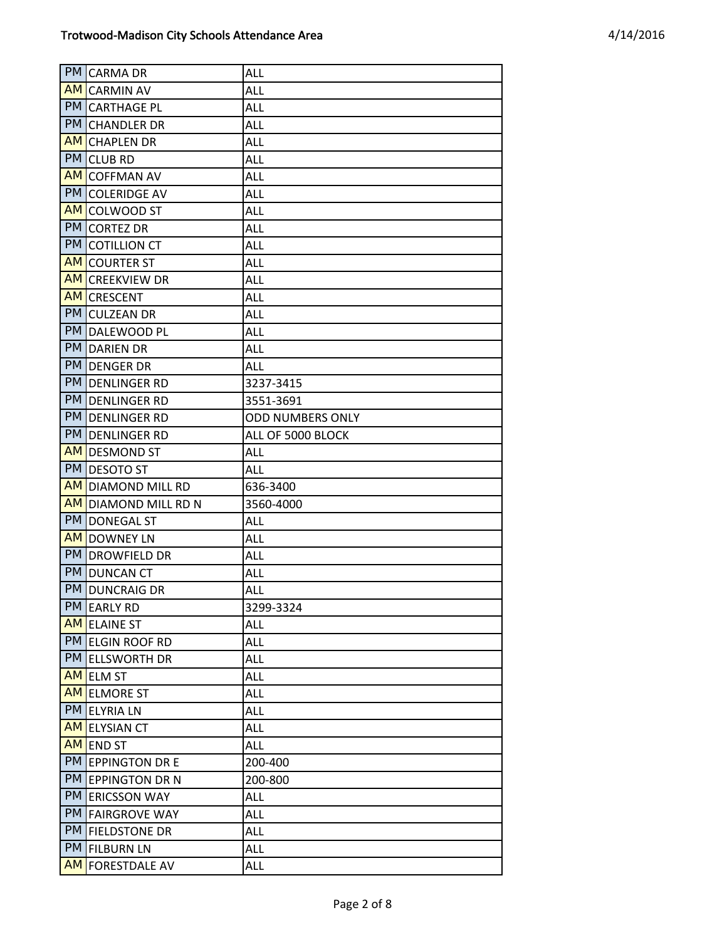| PM CARMA DR                      | ALL                     |
|----------------------------------|-------------------------|
| <b>AM CARMIN AV</b>              | <b>ALL</b>              |
| PM CARTHAGE PL                   | ALL                     |
| PM I<br><b>CHANDLER DR</b>       | ALL                     |
| AM I<br><b>CHAPLEN DR</b>        | ALL                     |
| PM I<br><b>CLUB RD</b>           | ALL                     |
| AM I<br><b>COFFMAN AV</b>        | <b>ALL</b>              |
| PM COLERIDGE AV                  | ALL                     |
| AM I<br>COLWOOD ST               | ALL                     |
| PM<br><b>CORTEZ DR</b>           | <b>ALL</b>              |
| PM  <br><b>COTILLION CT</b>      | ALL                     |
| <b>AM COURTER ST</b>             | <b>ALL</b>              |
| <b>AM</b><br><b>CREEKVIEW DR</b> | ALL                     |
| <b>AM CRESCENT</b>               | ALL                     |
| PM CULZEAN DR                    | <b>ALL</b>              |
| PM I<br>DALEWOOD PL              | <b>ALL</b>              |
| PM DARIEN DR                     | ALL                     |
| PM I<br><b>DENGER DR</b>         | <b>ALL</b>              |
| PM<br><b>DENLINGER RD</b>        | 3237-3415               |
| PM DENLINGER RD                  | 3551-3691               |
| PM DENLINGER RD                  | <b>ODD NUMBERS ONLY</b> |
| PM DENLINGER RD                  | ALL OF 5000 BLOCK       |
| AM I<br><b>DESMOND ST</b>        | ALL                     |
| PM DESOTO ST                     | ALL                     |
| AM I<br>DIAMOND MILL RD          | 636-3400                |
| <b>AM DIAMOND MILL RD N</b>      | 3560-4000               |
| PM  <br><b>DONEGAL ST</b>        | ALL                     |
| AMI<br><b>DOWNEY LN</b>          | ALL                     |
| PM<br><b>DROWFIELD DR</b>        | <b>ALL</b>              |
| PM  <br><b>DUNCAN CT</b>         | ALL                     |
| PM I<br><b>DUNCRAIG DR</b>       | <b>ALL</b>              |
| PM EARLY RD                      | 3299-3324               |
| <b>AM ELAINE ST</b>              | <b>ALL</b>              |
| PM ELGIN ROOF RD                 | ALL                     |
| PM ELLSWORTH DR                  | ALL                     |
| <b>AM ELM ST</b>                 | <b>ALL</b>              |
| AM I<br><b>ELMORE ST</b>         | ALL                     |
| PM ELYRIA LN                     | <b>ALL</b>              |
| <b>AM ELYSIAN CT</b>             | <b>ALL</b>              |
| <b>AM END ST</b>                 | all                     |
| PM EPPINGTON DR E                | 200-400                 |
| PM EPPINGTON DR N                | 200-800                 |
| <b>PM ERICSSON WAY</b>           | <b>ALL</b>              |
| PM FAIRGROVE WAY                 | <b>ALL</b>              |
| PM FIELDSTONE DR                 | <b>ALL</b>              |
| PM FILBURN LN                    | ALL                     |
| AM<br><b>FORESTDALE AV</b>       | ALL                     |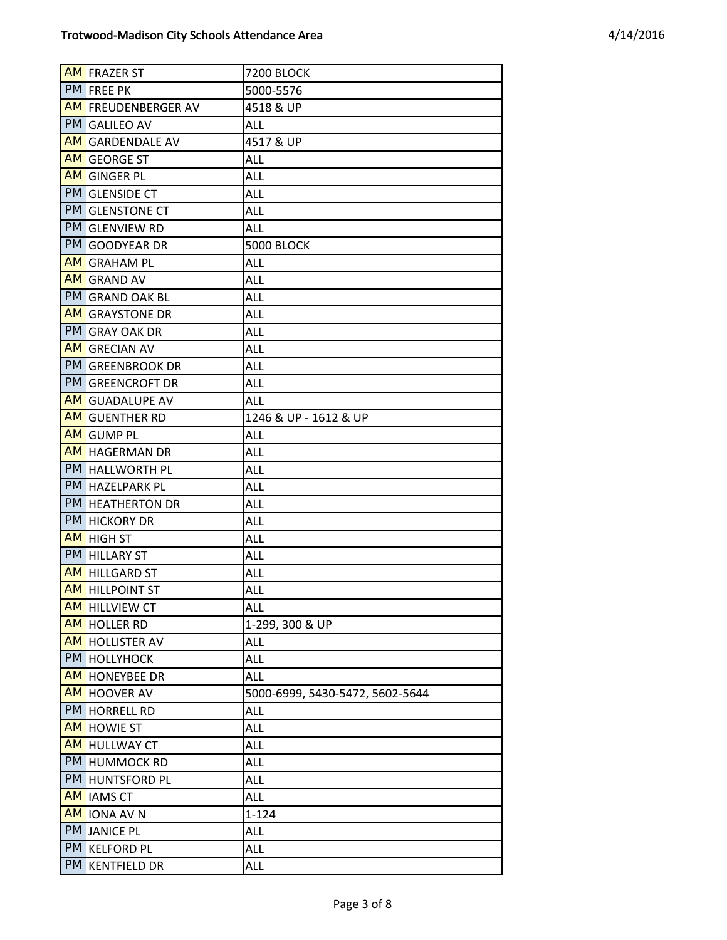| <b>AM FRAZER ST</b>        | 7200 BLOCK                      |
|----------------------------|---------------------------------|
| <b>PM FREE PK</b>          | 5000-5576                       |
| <b>AM FREUDENBERGER AV</b> | 4518 & UP                       |
| PM GALILEO AV              | ALL                             |
| <b>AM</b> GARDENDALE AV    | 4517 & UP                       |
| <b>AM GEORGE ST</b>        | ALL                             |
| <b>AM GINGER PL</b>        | <b>ALL</b>                      |
| PM GLENSIDE CT             | ALL                             |
| PM GLENSTONE CT            | <b>ALL</b>                      |
| PM GLENVIEW RD             | <b>ALL</b>                      |
| PM GOODYEAR DR             | 5000 BLOCK                      |
| <b>AM GRAHAM PL</b>        | <b>ALL</b>                      |
| <b>AM GRAND AV</b>         | ALL                             |
| PM GRAND OAK BL            | <b>ALL</b>                      |
| <b>AM</b> GRAYSTONE DR     | ALL                             |
| PM GRAY OAK DR             | <b>ALL</b>                      |
| <b>AM GRECIAN AV</b>       | <b>ALL</b>                      |
| PM GREENBROOK DR           | ALL                             |
| PM GREENCROFT DR           | <b>ALL</b>                      |
| <b>AM GUADALUPE AV</b>     | ALL                             |
| <b>AM</b> GUENTHER RD      | 1246 & UP - 1612 & UP           |
| <b>AM</b> GUMP PL          | <b>ALL</b>                      |
| <b>AM HAGERMAN DR</b>      | ALL                             |
| PM HALLWORTH PL            | ALL                             |
| PM HAZELPARK PL            | ALL                             |
| PM HEATHERTON DR           | <b>ALL</b>                      |
| <b>PM HICKORY DR</b>       | ALL                             |
| AM<br><b>HIGH ST</b>       | ALL                             |
| <b>PM HILLARY ST</b>       | <b>ALL</b>                      |
| <b>AM HILLGARD ST</b>      | ALL                             |
| <b>AM</b> HILLPOINT ST     | <b>ALL</b>                      |
| <b>AM</b> HILLVIEW CT      | <b>ALL</b>                      |
| <b>AM HOLLER RD</b>        | 1-299, 300 & UP                 |
| <b>AM HOLLISTER AV</b>     | ALL                             |
| PM HOLLYHOCK               | <b>ALL</b>                      |
| <b>AM</b> HONEYBEE DR      | <b>ALL</b>                      |
| <b>AM HOOVER AV</b>        | 5000-6999, 5430-5472, 5602-5644 |
| PM HORRELL RD              | <b>ALL</b>                      |
| <b>AM HOWIE ST</b>         | <b>ALL</b>                      |
| <b>AM</b> HULLWAY CT       | <b>ALL</b>                      |
| PM HUMMOCK RD              | <b>ALL</b>                      |
| PM HUNTSFORD PL            | ALL                             |
| <b>AM</b> IAMS CT          | <b>ALL</b>                      |
| <b>AM IONA AV N</b>        | $1 - 124$                       |
| <b>PM JANICE PL</b>        | <b>ALL</b>                      |
| PM KELFORD PL              | ALL                             |
| PM KENTFIELD DR            | ALL                             |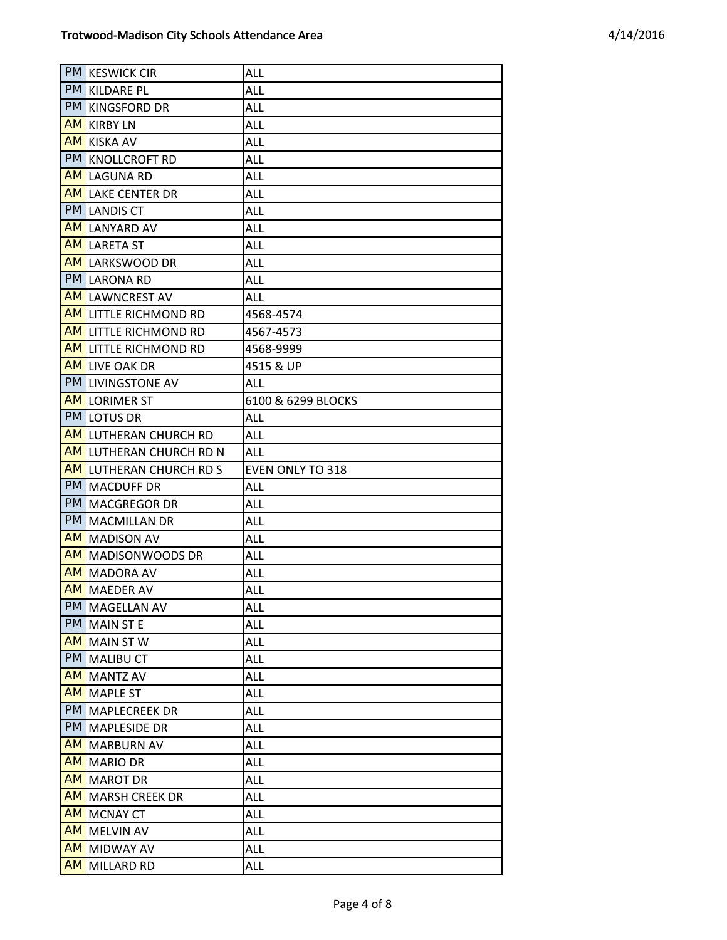| <b>PM KESWICK CIR</b>          | ALL                     |
|--------------------------------|-------------------------|
| PM KILDARE PL                  | ALL                     |
| PM KINGSFORD DR                | ALL                     |
| <b>AM KIRBY LN</b>             | ALL                     |
| <b>AM KISKA AV</b>             | ALL                     |
| PM KNOLLCROFT RD               | ALL                     |
| <b>AM LAGUNA RD</b>            | ALL                     |
| <b>AM LAKE CENTER DR</b>       | ALL                     |
| <b>PM LANDIS CT</b>            | ALL                     |
| <b>AM LANYARD AV</b>           | <b>ALL</b>              |
| <b>AM LARETA ST</b>            | ALL                     |
| <b>AM LARKSWOOD DR</b>         | ALL                     |
| PM LARONA RD                   | ALL                     |
| <b>AM LAWNCREST AV</b>         | ALL                     |
| <b>AM LITTLE RICHMOND RD</b>   | 4568-4574               |
| <b>AM LITTLE RICHMOND RD</b>   | 4567-4573               |
| <b>AM LITTLE RICHMOND RD</b>   | 4568-9999               |
| <b>AM LIVE OAK DR</b>          | 4515 & UP               |
| PM LIVINGSTONE AV              | <b>ALL</b>              |
| <b>AM LORIMER ST</b>           | 6100 & 6299 BLOCKS      |
| <b>PM LOTUS DR</b>             | <b>ALL</b>              |
| <b>AM LUTHERAN CHURCH RD</b>   | <b>ALL</b>              |
| <b>AM LUTHERAN CHURCH RD N</b> | <b>ALL</b>              |
| <b>AM LUTHERAN CHURCH RD S</b> | <b>EVEN ONLY TO 318</b> |
| <b>PM MACDUFF DR</b>           | ALL                     |
| PM MACGREGOR DR                | ALL                     |
| PM MACMILLAN DR                | ALL                     |
| <b>AM MADISON AV</b>           | ALL                     |
| AM MADISONWOODS DR             | <b>ALL</b>              |
| <b>AM MADORA AV</b>            | ALL                     |
| <b>AM MAEDER AV</b>            | ALL                     |
| PM MAGELLAN AV                 | ALL                     |
| PM MAIN ST E                   | ALL                     |
| AM MAIN ST W                   | <b>ALL</b>              |
| PM MALIBU CT                   | ALL                     |
| <b>AM MANTZ AV</b>             | <b>ALL</b>              |
| <b>AM MAPLE ST</b>             | ALL                     |
| PM MAPLECREEK DR               | ALL                     |
| PM MAPLESIDE DR                | <b>ALL</b>              |
| <b>AM MARBURN AV</b>           | ALL                     |
| AM MARIO DR                    | <b>ALL</b>              |
| <b>AM MAROT DR</b>             | <b>ALL</b>              |
| <b>AM MARSH CREEK DR</b>       | ALL                     |
| <b>AM</b> MCNAY CT             | <b>ALL</b>              |
| <b>AM MELVIN AV</b>            | ALL                     |
| AM MIDWAY AV                   | <b>ALL</b>              |
| <b>AM</b><br><b>MILLARD RD</b> | ALL                     |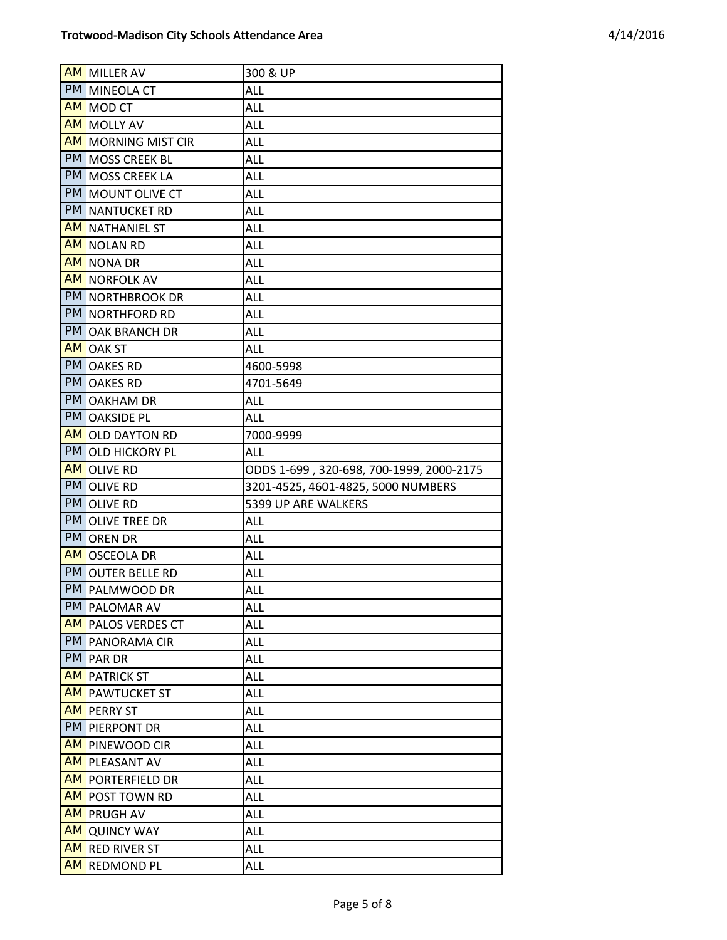| <b>AM MILLER AV</b>            | 300 & UP                                 |
|--------------------------------|------------------------------------------|
| PM MINEOLA CT                  | <b>ALL</b>                               |
| <b>AM</b> MOD CT               | ALL                                      |
| <b>AM MOLLY AV</b>             | <b>ALL</b>                               |
| <b>AM</b> MORNING MIST CIR     | <b>ALL</b>                               |
| PM MOSS CREEK BL               | <b>ALL</b>                               |
| PM MOSS CREEK LA               | <b>ALL</b>                               |
| PM MOUNT OLIVE CT              | ALL                                      |
| <b>PM NANTUCKET RD</b>         | ALL                                      |
| <b>AM NATHANIEL ST</b>         | ALL                                      |
| <b>AM NOLAN RD</b>             | <b>ALL</b>                               |
| <b>AM</b> NONA DR              | <b>ALL</b>                               |
| <b>AM NORFOLK AV</b>           | ALL                                      |
| <b>PM NORTHBROOK DR</b>        | ALL                                      |
| PM NORTHFORD RD                | ALL                                      |
| PM OAK BRANCH DR               | <b>ALL</b>                               |
| <b>AM OAK ST</b>               | ALL                                      |
| <b>PM OAKES</b> RD             | 4600-5998                                |
| <b>PM OAKES</b> RD             | 4701-5649                                |
| PM OAKHAM DR                   | <b>ALL</b>                               |
| <b>PM OAKSIDE PL</b>           | ALL                                      |
| <b>AM</b> OLD DAYTON RD        | 7000-9999                                |
| PM OLD HICKORY PL              | <b>ALL</b>                               |
| <b>AM OLIVE RD</b>             | ODDS 1-699, 320-698, 700-1999, 2000-2175 |
| <b>PM OLIVE RD</b>             | 3201-4525, 4601-4825, 5000 NUMBERS       |
| <b>PM OLIVE RD</b>             | 5399 UP ARE WALKERS                      |
| <b>PM OLIVE TREE DR</b>        | <b>ALL</b>                               |
| <b>PM</b> OREN DR              | <b>ALL</b>                               |
| <b>AM</b> OSCEOLA DR           | ALL                                      |
| PM OUTER BELLE RD              | <b>ALL</b>                               |
| PM PALMWOOD DR                 | <b>ALL</b>                               |
| PM PALOMAR AV                  | <b>ALL</b>                               |
| <b>AM PALOS VERDES CT</b>      | <b>ALL</b>                               |
| PM PANORAMA CIR                | ALL                                      |
| <b>PM</b><br><b>PAR DR</b>     | ALL                                      |
| <b>AM PATRICK ST</b>           | ALL                                      |
| <b>AM PAWTUCKET ST</b>         | ALL                                      |
| <b>AM PERRY ST</b>             | <b>ALL</b>                               |
| PM PIERPONT DR                 | <b>ALL</b>                               |
| <b>AM PINEWOOD CIR</b>         | ALL                                      |
| <b>AM PLEASANT AV</b>          | ALL                                      |
| <b>AM PORTERFIELD DR</b>       | <b>ALL</b>                               |
| <b>AM</b> POST TOWN RD         | <b>ALL</b>                               |
| <b>AM PRUGH AV</b>             | <b>ALL</b>                               |
| <b>AM</b> QUINCY WAY           | <b>ALL</b>                               |
| AM RED RIVER ST                | ALL                                      |
| <b>AM</b><br><b>REDMOND PL</b> | <b>ALL</b>                               |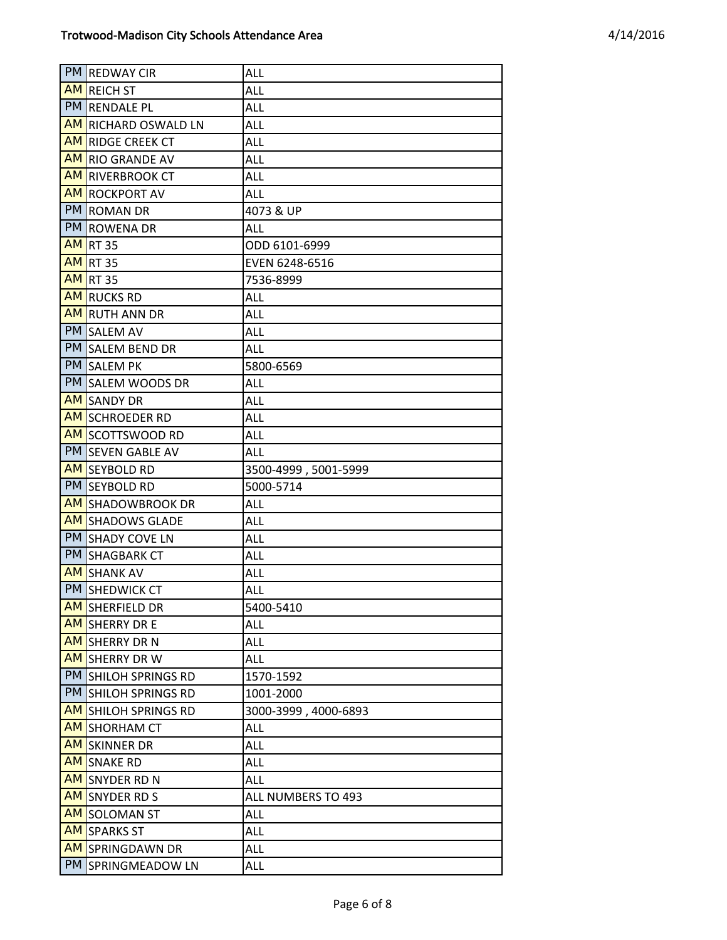| PM REDWAY CIR                | <b>ALL</b>           |
|------------------------------|----------------------|
| <b>AM REICH ST</b>           | ALL                  |
| PM RENDALE PL                | <b>ALL</b>           |
| <b>AM RICHARD OSWALD LN</b>  | <b>ALL</b>           |
| <b>AM RIDGE CREEK CT</b>     | <b>ALL</b>           |
| AM<br><b>RIO GRANDE AV</b>   | ALL                  |
| <b>AM RIVERBROOK CT</b>      | <b>ALL</b>           |
| <b>AM ROCKPORT AV</b>        | ALL                  |
| PM ROMAN DR                  | 4073 & UP            |
| PM ROWENA DR                 | ALL                  |
| <b>AM RT 35</b>              | ODD 6101-6999        |
| <b>AM RT 35</b>              | EVEN 6248-6516       |
| <b>AM RT 35</b>              | 7536-8999            |
| <b>AM RUCKS RD</b>           | ALL                  |
| <b>AM RUTH ANN DR</b>        | <b>ALL</b>           |
| PM SALEM AV                  | <b>ALL</b>           |
| PM SALEM BEND DR             | <b>ALL</b>           |
| PM SALEM PK                  | 5800-6569            |
| PM SALEM WOODS DR            | <b>ALL</b>           |
| <b>AM SANDY DR</b>           | <b>ALL</b>           |
| <b>AM SCHROEDER RD</b>       | <b>ALL</b>           |
| <b>AM SCOTTSWOOD RD</b>      | <b>ALL</b>           |
| PM SEVEN GABLE AV            | ALL                  |
| <b>AM SEYBOLD RD</b>         | 3500-4999, 5001-5999 |
| PM SEYBOLD RD                | 5000-5714            |
| <b>AM SHADOWBROOK DR</b>     | <b>ALL</b>           |
| <b>AM SHADOWS GLADE</b>      | <b>ALL</b>           |
| PM<br><b>SHADY COVE LN</b>   | <b>ALL</b>           |
| PM.<br><b>SHAGBARK CT</b>    | <b>ALL</b>           |
| AM<br><b>SHANK AV</b>        | <b>ALL</b>           |
| PM SHEDWICK CT               | <b>ALL</b>           |
| <b>AM SHERFIELD DR</b>       | 5400-5410            |
| <b>AM SHERRY DR E</b>        | ALL                  |
| <b>AM SHERRY DR N</b>        | <b>ALL</b>           |
| <b>AM SHERRY DR W</b>        | ALL                  |
| PM SHILOH SPRINGS RD         | 1570-1592            |
| PM SHILOH SPRINGS RD         | 1001-2000            |
| <b>AM</b> SHILOH SPRINGS RD  | 3000-3999, 4000-6893 |
| <b>AM SHORHAM CT</b>         | <b>ALL</b>           |
| <b>AM SKINNER DR</b>         | <b>ALL</b>           |
| <b>AM SNAKE RD</b>           | <b>ALL</b>           |
| <b>AM</b> SNYDER RD N        | <b>ALL</b>           |
| <b>AM</b> SNYDER RD S        | ALL NUMBERS TO 493   |
| <b>AM</b> SOLOMAN ST         | <b>ALL</b>           |
| <b>AM SPARKS ST</b>          | ALL                  |
| <b>AM</b> SPRINGDAWN DR      | <b>ALL</b>           |
| <b>PM</b><br>SPRINGMEADOW LN | <b>ALL</b>           |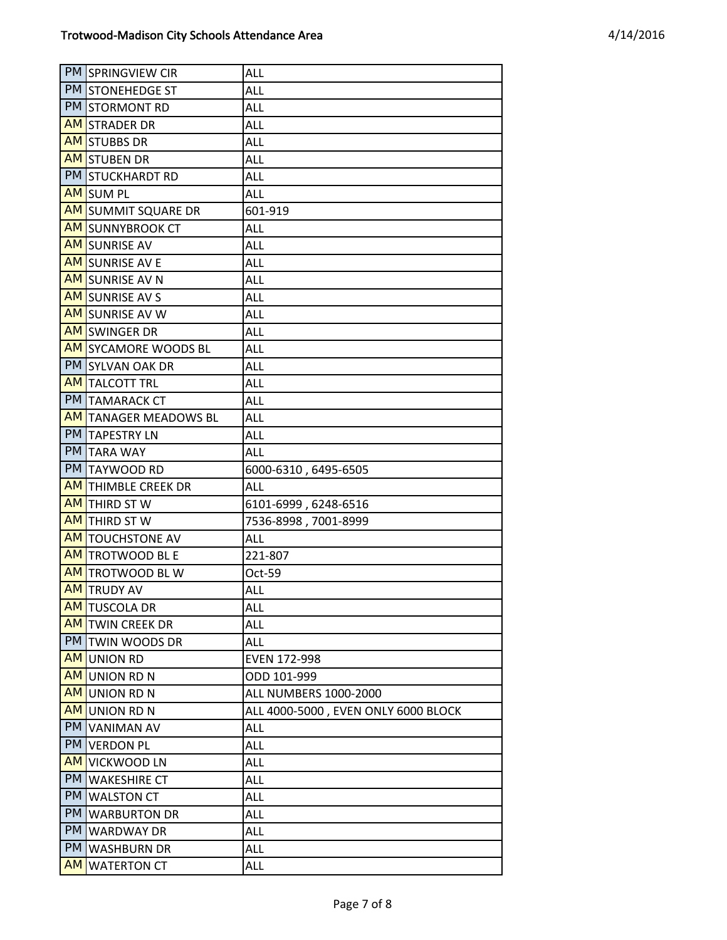| PM SPRINGVIEW CIR            | ALL                                 |
|------------------------------|-------------------------------------|
| PM STONEHEDGE ST             | <b>ALL</b>                          |
| PM STORMONT RD               | <b>ALL</b>                          |
| <b>AM STRADER DR</b>         | <b>ALL</b>                          |
| <b>AM STUBBS DR</b>          | <b>ALL</b>                          |
| <b>AM STUBEN DR</b>          | <b>ALL</b>                          |
| PM STUCKHARDT RD             | <b>ALL</b>                          |
| <b>AM</b> SUM PL             | <b>ALL</b>                          |
| <b>AM SUMMIT SQUARE DR</b>   | 601-919                             |
| <b>AM SUNNYBROOK CT</b>      | ALL                                 |
| <b>AM SUNRISE AV</b>         | <b>ALL</b>                          |
| <b>AM</b> SUNRISE AV E       | <b>ALL</b>                          |
| <b>AM</b> SUNRISE AV N       | ALL                                 |
| <b>AM SUNRISE AV S</b>       | <b>ALL</b>                          |
| <b>AM SUNRISE AV W</b>       | <b>ALL</b>                          |
| <b>AM</b> SWINGER DR         | ALL                                 |
| <b>AM</b> SYCAMORE WOODS BL  | <b>ALL</b>                          |
| PM SYLVAN OAK DR             | <b>ALL</b>                          |
| <b>AM</b> TALCOTT TRL        | <b>ALL</b>                          |
| PM TAMARACK CT               | ALL                                 |
| <b>AM</b> TANAGER MEADOWS BL | <b>ALL</b>                          |
| <b>PM TAPESTRY LN</b>        | <b>ALL</b>                          |
| PM TARA WAY                  | <b>ALL</b>                          |
| PM TAYWOOD RD                | 6000-6310, 6495-6505                |
| <b>AM THIMBLE CREEK DR</b>   | ALL                                 |
| <b>AM</b> THIRD ST W         | 6101-6999, 6248-6516                |
| <b>AM</b> THIRD ST W         | 7536-8998, 7001-8999                |
| <b>AM</b> TOUCHSTONE AV      | <b>ALL</b>                          |
| <b>AM</b> TROTWOOD BL E      | 221-807                             |
| <b>AM</b> TROTWOOD BL W      | Oct-59                              |
| <b>AM TRUDY AV</b>           | <b>ALL</b>                          |
| <b>AM</b> TUSCOLA DR         | <b>ALL</b>                          |
| <b>AM</b> TWIN CREEK DR      | <b>ALL</b>                          |
| PM TWIN WOODS DR             | <b>ALL</b>                          |
| <b>AM</b> UNION RD           | EVEN 172-998                        |
| <b>AM</b> UNION RD N         | ODD 101-999                         |
| AM UNION RD N                | ALL NUMBERS 1000-2000               |
| AM UNION RD N                | ALL 4000-5000, EVEN ONLY 6000 BLOCK |
| PM VANIMAN AV                | <b>ALL</b>                          |
| PM VERDON PL                 | <b>ALL</b>                          |
| <b>AM</b> VICKWOOD LN        | <b>ALL</b>                          |
| PM WAKESHIRE CT              | <b>ALL</b>                          |
| PM WALSTON CT                | <b>ALL</b>                          |
| PM WARBURTON DR              | <b>ALL</b>                          |
| PM WARDWAY DR                | <b>ALL</b>                          |
| PM WASHBURN DR               | <b>ALL</b>                          |
| <b>AM</b> WATERTON CT        | ALL                                 |